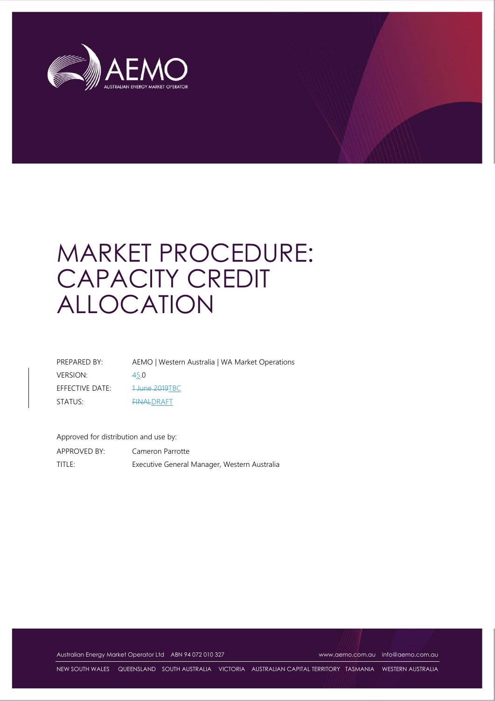

# MARKET PROCEDURE: CAPACITY CREDIT ALLOCATION

| PREPARED BY:    | AEMO   Western Australia   WA Market Operations |
|-----------------|-------------------------------------------------|
| <b>VERSION:</b> | 45.0                                            |
| EFFECTIVE DATE: | <del>1 June 2019</del> TBC                      |
| STATUS:         | <b>FINALDRAFT</b>                               |

Approved for distribution and use by:

APPROVED BY: Cameron Parrotte TITLE: Executive General Manager, Western Australia

Australian Energy Market Operator Ltd ABN 94 072 010 327 [www.aemo.com.au](http://www.aemo.com.au/) [info@aemo.com.au](mailto:info@aemo.com.au)

NEW SOUTH WALES QUEENSLAND SOUTH AUSTRALIA VICTORIA AUSTRALIAN CAPITAL TERRITORY TASMANIA WESTERN AUSTRALIA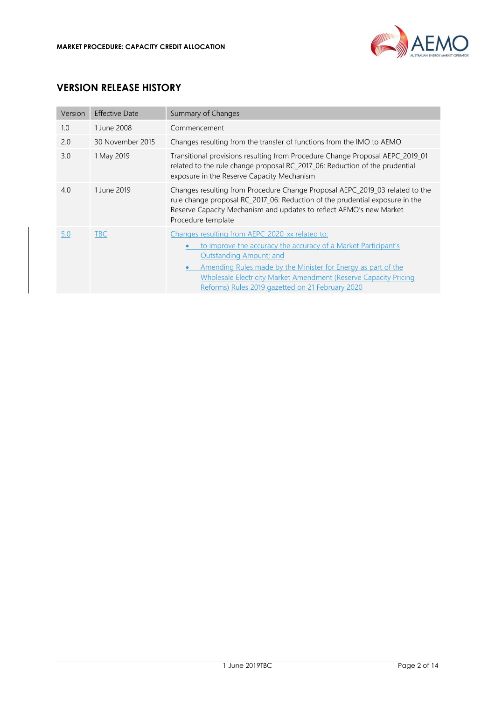

# **VERSION RELEASE HISTORY**

| Version | <b>Effective Date</b> | Summary of Changes                                                                                                                                                                                                                                                                                                                                   |  |
|---------|-----------------------|------------------------------------------------------------------------------------------------------------------------------------------------------------------------------------------------------------------------------------------------------------------------------------------------------------------------------------------------------|--|
| 1.0     | 1 June 2008           | Commencement                                                                                                                                                                                                                                                                                                                                         |  |
| 2.0     | 30 November 2015      | Changes resulting from the transfer of functions from the IMO to AEMO                                                                                                                                                                                                                                                                                |  |
| 3.0     | 1 May 2019            | Transitional provisions resulting from Procedure Change Proposal AEPC_2019_01<br>related to the rule change proposal RC_2017_06: Reduction of the prudential<br>exposure in the Reserve Capacity Mechanism                                                                                                                                           |  |
| 4.0     | 1 June 2019           | Changes resulting from Procedure Change Proposal AEPC_2019_03 related to the<br>rule change proposal RC_2017_06: Reduction of the prudential exposure in the<br>Reserve Capacity Mechanism and updates to reflect AEMO's new Market<br>Procedure template                                                                                            |  |
| 5.0     | TBC                   | Changes resulting from AEPC 2020 xx related to:<br>to improve the accuracy the accuracy of a Market Participant's<br><b>Outstanding Amount; and</b><br>Amending Rules made by the Minister for Energy as part of the<br><b>Wholesale Electricity Market Amendment (Reserve Capacity Pricing)</b><br>Reforms) Rules 2019 gazetted on 21 February 2020 |  |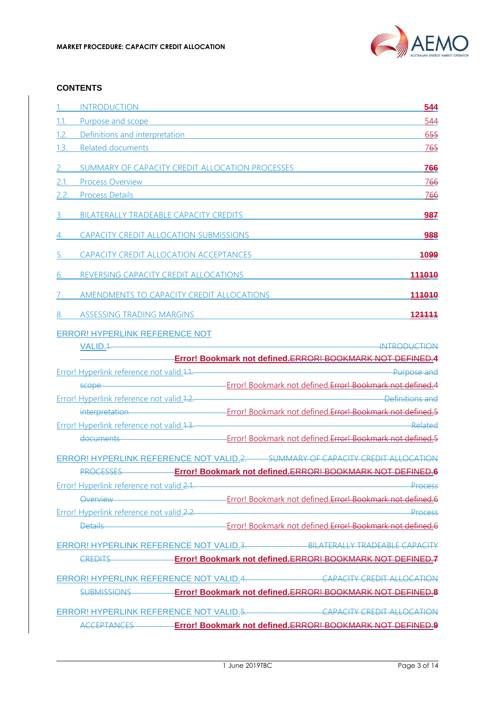

#### **CONTENTS**

| Purpose and scope <b>Example 20</b> Second 20 April 20 Second 20 April 20 Second 20 April 20 Second 20 April 20 Second 20 April 20 Second 20 April 20 Second 20 Second 20 April 20 Second 20 April 20 Second 20 Second 20 Second 20<br>544<br>1.1.<br>Definitions and interpretation <b>Executive Contract Contract Contract Contract Contract Contract Contract Contract Contract Contract Contract Contract Contract Contract Contract Contract Contract Contract Contract Contract </b><br>655<br>1.2.<br>1.3.<br>Related documents and the contract of the contract of the contract of the contract of the contract of the contract of the contract of the contract of the contract of the contract of the contract of the contract of the cont<br>765<br><b>766</b><br>SUMMARY OF CAPACITY CREDIT ALLOCATION PROCESSES<br>2.<br>766<br>2.1.<br><b>Process Overview</b><br><u> 1980 - Johann Barn, mars ann an t-Amhain Aonaichte ann an t-Aonaichte ann an t-Aonaichte ann an t-Aonaichte a</u><br><b>Process Details</b><br>2.2.<br><u>766</u><br>BILATERALLY TRADEABLE CAPACITY CREDITS<br>987<br>3.<br>CAPACITY CREDIT ALLOCATION SUBMISSIONS<br>988<br>CAPACITY CREDIT ALLOCATION ACCEPTANCES<br>1099<br>5.<br>REVERSING CAPACITY CREDIT ALLOCATIONS<br>114010<br>6.<br>AMENDMENTS TO CAPACITY CREDIT ALLOCATIONS<br>114010<br>$\sqrt{2}$<br>ASSESSING TRADING MARGINS<br>124444<br>8.<br><b>ERROR! HYPERLINK REFERENCE NOT</b><br>VALID.1.<br>Error! Bookmark not defined.ERROR! BOOKMARK NOT DEFINED.4<br>Error! Hyperlink reference not valid.1.1. Contract and the contract of the Purpose and<br>scope <b>Error! Bookmark not defined.Error! Bookmark hot defined.Error! Bookmark not defined.4</b><br>Error! Hyperlink reference not valid 1.2. Contract the contract of the Definitions and<br>interpretation <b>Error! Bookmark not defined.Error! Bookmark not defined.</b><br>Error! Hyperlink reference not valid.1.3.<br>documents <b>Error! Bookmark not defined.Error! Bookmark</b> not defined.Error! Bookmark not defined.5<br>ERROR! HYPERLINK REFERENCE NOT VALID.2. SUMMARY OF CAPACITY CREDIT ALLOCATION<br>Error! Hyperlink reference not valid.2.1.<br>Process<br>Overview Charles Error! Bookmark not defined.Error! Bookmark not defined.6<br>Error! Hyperlink reference not valid.2.2.<br>Process<br>Details <b>Details Constitution Constitution</b> Error! Bookmark not defined.Error! Bookmark not defined.6<br>ERROR! HYPERLINK REFERENCE NOT VALID.3. BILATERALLY TRADEABLE CAPACITY<br>CREDITS <b>Error! Bookmark not defined.ERROR! BOOKMARK NOT DEFINED.7</b> | INTRODUCTION AND ANNO THE CONTROL CONTROL CONTROL CONTROL CONTROL CONTROL CONTROL CONTROL CONTROL CONTROL CONTROL CONTROL CONTROL CONTROL CONTROL CONTROL CONTROL CONTROL CONTROL CONTROL CONTROL CONTROL CONTROL CONTROL CONT | 544 |
|---------------------------------------------------------------------------------------------------------------------------------------------------------------------------------------------------------------------------------------------------------------------------------------------------------------------------------------------------------------------------------------------------------------------------------------------------------------------------------------------------------------------------------------------------------------------------------------------------------------------------------------------------------------------------------------------------------------------------------------------------------------------------------------------------------------------------------------------------------------------------------------------------------------------------------------------------------------------------------------------------------------------------------------------------------------------------------------------------------------------------------------------------------------------------------------------------------------------------------------------------------------------------------------------------------------------------------------------------------------------------------------------------------------------------------------------------------------------------------------------------------------------------------------------------------------------------------------------------------------------------------------------------------------------------------------------------------------------------------------------------------------------------------------------------------------------------------------------------------------------------------------------------------------------------------------------------------------------------------------------------------------------------------------------------------------------------------------------------------------------------------------------------------------------------------------------------------------------------------------------------------------------------------------------------------------------------------------------------------------------------------------------------------------------------------------------------------------------------------------------------------------------------------------------------------------------------------------------------------|--------------------------------------------------------------------------------------------------------------------------------------------------------------------------------------------------------------------------------|-----|
|                                                                                                                                                                                                                                                                                                                                                                                                                                                                                                                                                                                                                                                                                                                                                                                                                                                                                                                                                                                                                                                                                                                                                                                                                                                                                                                                                                                                                                                                                                                                                                                                                                                                                                                                                                                                                                                                                                                                                                                                                                                                                                                                                                                                                                                                                                                                                                                                                                                                                                                                                                                                         |                                                                                                                                                                                                                                |     |
|                                                                                                                                                                                                                                                                                                                                                                                                                                                                                                                                                                                                                                                                                                                                                                                                                                                                                                                                                                                                                                                                                                                                                                                                                                                                                                                                                                                                                                                                                                                                                                                                                                                                                                                                                                                                                                                                                                                                                                                                                                                                                                                                                                                                                                                                                                                                                                                                                                                                                                                                                                                                         |                                                                                                                                                                                                                                |     |
|                                                                                                                                                                                                                                                                                                                                                                                                                                                                                                                                                                                                                                                                                                                                                                                                                                                                                                                                                                                                                                                                                                                                                                                                                                                                                                                                                                                                                                                                                                                                                                                                                                                                                                                                                                                                                                                                                                                                                                                                                                                                                                                                                                                                                                                                                                                                                                                                                                                                                                                                                                                                         |                                                                                                                                                                                                                                |     |
|                                                                                                                                                                                                                                                                                                                                                                                                                                                                                                                                                                                                                                                                                                                                                                                                                                                                                                                                                                                                                                                                                                                                                                                                                                                                                                                                                                                                                                                                                                                                                                                                                                                                                                                                                                                                                                                                                                                                                                                                                                                                                                                                                                                                                                                                                                                                                                                                                                                                                                                                                                                                         |                                                                                                                                                                                                                                |     |
|                                                                                                                                                                                                                                                                                                                                                                                                                                                                                                                                                                                                                                                                                                                                                                                                                                                                                                                                                                                                                                                                                                                                                                                                                                                                                                                                                                                                                                                                                                                                                                                                                                                                                                                                                                                                                                                                                                                                                                                                                                                                                                                                                                                                                                                                                                                                                                                                                                                                                                                                                                                                         |                                                                                                                                                                                                                                |     |
|                                                                                                                                                                                                                                                                                                                                                                                                                                                                                                                                                                                                                                                                                                                                                                                                                                                                                                                                                                                                                                                                                                                                                                                                                                                                                                                                                                                                                                                                                                                                                                                                                                                                                                                                                                                                                                                                                                                                                                                                                                                                                                                                                                                                                                                                                                                                                                                                                                                                                                                                                                                                         |                                                                                                                                                                                                                                |     |
|                                                                                                                                                                                                                                                                                                                                                                                                                                                                                                                                                                                                                                                                                                                                                                                                                                                                                                                                                                                                                                                                                                                                                                                                                                                                                                                                                                                                                                                                                                                                                                                                                                                                                                                                                                                                                                                                                                                                                                                                                                                                                                                                                                                                                                                                                                                                                                                                                                                                                                                                                                                                         |                                                                                                                                                                                                                                |     |
|                                                                                                                                                                                                                                                                                                                                                                                                                                                                                                                                                                                                                                                                                                                                                                                                                                                                                                                                                                                                                                                                                                                                                                                                                                                                                                                                                                                                                                                                                                                                                                                                                                                                                                                                                                                                                                                                                                                                                                                                                                                                                                                                                                                                                                                                                                                                                                                                                                                                                                                                                                                                         |                                                                                                                                                                                                                                |     |
|                                                                                                                                                                                                                                                                                                                                                                                                                                                                                                                                                                                                                                                                                                                                                                                                                                                                                                                                                                                                                                                                                                                                                                                                                                                                                                                                                                                                                                                                                                                                                                                                                                                                                                                                                                                                                                                                                                                                                                                                                                                                                                                                                                                                                                                                                                                                                                                                                                                                                                                                                                                                         |                                                                                                                                                                                                                                |     |
| PROCESSES <b>Error! Bookmark not defined.ERROR! BOOKMARK NOT DEFINED.6</b>                                                                                                                                                                                                                                                                                                                                                                                                                                                                                                                                                                                                                                                                                                                                                                                                                                                                                                                                                                                                                                                                                                                                                                                                                                                                                                                                                                                                                                                                                                                                                                                                                                                                                                                                                                                                                                                                                                                                                                                                                                                                                                                                                                                                                                                                                                                                                                                                                                                                                                                              |                                                                                                                                                                                                                                |     |
|                                                                                                                                                                                                                                                                                                                                                                                                                                                                                                                                                                                                                                                                                                                                                                                                                                                                                                                                                                                                                                                                                                                                                                                                                                                                                                                                                                                                                                                                                                                                                                                                                                                                                                                                                                                                                                                                                                                                                                                                                                                                                                                                                                                                                                                                                                                                                                                                                                                                                                                                                                                                         |                                                                                                                                                                                                                                |     |
|                                                                                                                                                                                                                                                                                                                                                                                                                                                                                                                                                                                                                                                                                                                                                                                                                                                                                                                                                                                                                                                                                                                                                                                                                                                                                                                                                                                                                                                                                                                                                                                                                                                                                                                                                                                                                                                                                                                                                                                                                                                                                                                                                                                                                                                                                                                                                                                                                                                                                                                                                                                                         |                                                                                                                                                                                                                                |     |
|                                                                                                                                                                                                                                                                                                                                                                                                                                                                                                                                                                                                                                                                                                                                                                                                                                                                                                                                                                                                                                                                                                                                                                                                                                                                                                                                                                                                                                                                                                                                                                                                                                                                                                                                                                                                                                                                                                                                                                                                                                                                                                                                                                                                                                                                                                                                                                                                                                                                                                                                                                                                         |                                                                                                                                                                                                                                |     |
|                                                                                                                                                                                                                                                                                                                                                                                                                                                                                                                                                                                                                                                                                                                                                                                                                                                                                                                                                                                                                                                                                                                                                                                                                                                                                                                                                                                                                                                                                                                                                                                                                                                                                                                                                                                                                                                                                                                                                                                                                                                                                                                                                                                                                                                                                                                                                                                                                                                                                                                                                                                                         |                                                                                                                                                                                                                                |     |
|                                                                                                                                                                                                                                                                                                                                                                                                                                                                                                                                                                                                                                                                                                                                                                                                                                                                                                                                                                                                                                                                                                                                                                                                                                                                                                                                                                                                                                                                                                                                                                                                                                                                                                                                                                                                                                                                                                                                                                                                                                                                                                                                                                                                                                                                                                                                                                                                                                                                                                                                                                                                         |                                                                                                                                                                                                                                |     |
|                                                                                                                                                                                                                                                                                                                                                                                                                                                                                                                                                                                                                                                                                                                                                                                                                                                                                                                                                                                                                                                                                                                                                                                                                                                                                                                                                                                                                                                                                                                                                                                                                                                                                                                                                                                                                                                                                                                                                                                                                                                                                                                                                                                                                                                                                                                                                                                                                                                                                                                                                                                                         |                                                                                                                                                                                                                                |     |
|                                                                                                                                                                                                                                                                                                                                                                                                                                                                                                                                                                                                                                                                                                                                                                                                                                                                                                                                                                                                                                                                                                                                                                                                                                                                                                                                                                                                                                                                                                                                                                                                                                                                                                                                                                                                                                                                                                                                                                                                                                                                                                                                                                                                                                                                                                                                                                                                                                                                                                                                                                                                         |                                                                                                                                                                                                                                |     |
|                                                                                                                                                                                                                                                                                                                                                                                                                                                                                                                                                                                                                                                                                                                                                                                                                                                                                                                                                                                                                                                                                                                                                                                                                                                                                                                                                                                                                                                                                                                                                                                                                                                                                                                                                                                                                                                                                                                                                                                                                                                                                                                                                                                                                                                                                                                                                                                                                                                                                                                                                                                                         |                                                                                                                                                                                                                                |     |
|                                                                                                                                                                                                                                                                                                                                                                                                                                                                                                                                                                                                                                                                                                                                                                                                                                                                                                                                                                                                                                                                                                                                                                                                                                                                                                                                                                                                                                                                                                                                                                                                                                                                                                                                                                                                                                                                                                                                                                                                                                                                                                                                                                                                                                                                                                                                                                                                                                                                                                                                                                                                         |                                                                                                                                                                                                                                |     |
|                                                                                                                                                                                                                                                                                                                                                                                                                                                                                                                                                                                                                                                                                                                                                                                                                                                                                                                                                                                                                                                                                                                                                                                                                                                                                                                                                                                                                                                                                                                                                                                                                                                                                                                                                                                                                                                                                                                                                                                                                                                                                                                                                                                                                                                                                                                                                                                                                                                                                                                                                                                                         |                                                                                                                                                                                                                                |     |
|                                                                                                                                                                                                                                                                                                                                                                                                                                                                                                                                                                                                                                                                                                                                                                                                                                                                                                                                                                                                                                                                                                                                                                                                                                                                                                                                                                                                                                                                                                                                                                                                                                                                                                                                                                                                                                                                                                                                                                                                                                                                                                                                                                                                                                                                                                                                                                                                                                                                                                                                                                                                         |                                                                                                                                                                                                                                |     |
|                                                                                                                                                                                                                                                                                                                                                                                                                                                                                                                                                                                                                                                                                                                                                                                                                                                                                                                                                                                                                                                                                                                                                                                                                                                                                                                                                                                                                                                                                                                                                                                                                                                                                                                                                                                                                                                                                                                                                                                                                                                                                                                                                                                                                                                                                                                                                                                                                                                                                                                                                                                                         |                                                                                                                                                                                                                                |     |
|                                                                                                                                                                                                                                                                                                                                                                                                                                                                                                                                                                                                                                                                                                                                                                                                                                                                                                                                                                                                                                                                                                                                                                                                                                                                                                                                                                                                                                                                                                                                                                                                                                                                                                                                                                                                                                                                                                                                                                                                                                                                                                                                                                                                                                                                                                                                                                                                                                                                                                                                                                                                         |                                                                                                                                                                                                                                |     |
|                                                                                                                                                                                                                                                                                                                                                                                                                                                                                                                                                                                                                                                                                                                                                                                                                                                                                                                                                                                                                                                                                                                                                                                                                                                                                                                                                                                                                                                                                                                                                                                                                                                                                                                                                                                                                                                                                                                                                                                                                                                                                                                                                                                                                                                                                                                                                                                                                                                                                                                                                                                                         |                                                                                                                                                                                                                                |     |
|                                                                                                                                                                                                                                                                                                                                                                                                                                                                                                                                                                                                                                                                                                                                                                                                                                                                                                                                                                                                                                                                                                                                                                                                                                                                                                                                                                                                                                                                                                                                                                                                                                                                                                                                                                                                                                                                                                                                                                                                                                                                                                                                                                                                                                                                                                                                                                                                                                                                                                                                                                                                         |                                                                                                                                                                                                                                |     |
|                                                                                                                                                                                                                                                                                                                                                                                                                                                                                                                                                                                                                                                                                                                                                                                                                                                                                                                                                                                                                                                                                                                                                                                                                                                                                                                                                                                                                                                                                                                                                                                                                                                                                                                                                                                                                                                                                                                                                                                                                                                                                                                                                                                                                                                                                                                                                                                                                                                                                                                                                                                                         |                                                                                                                                                                                                                                |     |
|                                                                                                                                                                                                                                                                                                                                                                                                                                                                                                                                                                                                                                                                                                                                                                                                                                                                                                                                                                                                                                                                                                                                                                                                                                                                                                                                                                                                                                                                                                                                                                                                                                                                                                                                                                                                                                                                                                                                                                                                                                                                                                                                                                                                                                                                                                                                                                                                                                                                                                                                                                                                         |                                                                                                                                                                                                                                |     |
|                                                                                                                                                                                                                                                                                                                                                                                                                                                                                                                                                                                                                                                                                                                                                                                                                                                                                                                                                                                                                                                                                                                                                                                                                                                                                                                                                                                                                                                                                                                                                                                                                                                                                                                                                                                                                                                                                                                                                                                                                                                                                                                                                                                                                                                                                                                                                                                                                                                                                                                                                                                                         |                                                                                                                                                                                                                                |     |
|                                                                                                                                                                                                                                                                                                                                                                                                                                                                                                                                                                                                                                                                                                                                                                                                                                                                                                                                                                                                                                                                                                                                                                                                                                                                                                                                                                                                                                                                                                                                                                                                                                                                                                                                                                                                                                                                                                                                                                                                                                                                                                                                                                                                                                                                                                                                                                                                                                                                                                                                                                                                         | ERROR! HYPERLINK REFERENCE NOT VALID.4. CAPACITY CREDIT ALLOCATION                                                                                                                                                             |     |
| SUBMISSIONS <b>Error! Bookmark not defined.ERROR! BOOKMARK NOT DEFINED.8</b>                                                                                                                                                                                                                                                                                                                                                                                                                                                                                                                                                                                                                                                                                                                                                                                                                                                                                                                                                                                                                                                                                                                                                                                                                                                                                                                                                                                                                                                                                                                                                                                                                                                                                                                                                                                                                                                                                                                                                                                                                                                                                                                                                                                                                                                                                                                                                                                                                                                                                                                            |                                                                                                                                                                                                                                |     |
| ERROR! HYPERLINK REFERENCE NOT VALID.5. CAPACITY CREDIT ALLOCATION                                                                                                                                                                                                                                                                                                                                                                                                                                                                                                                                                                                                                                                                                                                                                                                                                                                                                                                                                                                                                                                                                                                                                                                                                                                                                                                                                                                                                                                                                                                                                                                                                                                                                                                                                                                                                                                                                                                                                                                                                                                                                                                                                                                                                                                                                                                                                                                                                                                                                                                                      |                                                                                                                                                                                                                                |     |
| ACCEPTANCES <b>Error! Bookmark not defined.ERROR! BOOKMARK NOT DEFINED.9</b>                                                                                                                                                                                                                                                                                                                                                                                                                                                                                                                                                                                                                                                                                                                                                                                                                                                                                                                                                                                                                                                                                                                                                                                                                                                                                                                                                                                                                                                                                                                                                                                                                                                                                                                                                                                                                                                                                                                                                                                                                                                                                                                                                                                                                                                                                                                                                                                                                                                                                                                            |                                                                                                                                                                                                                                |     |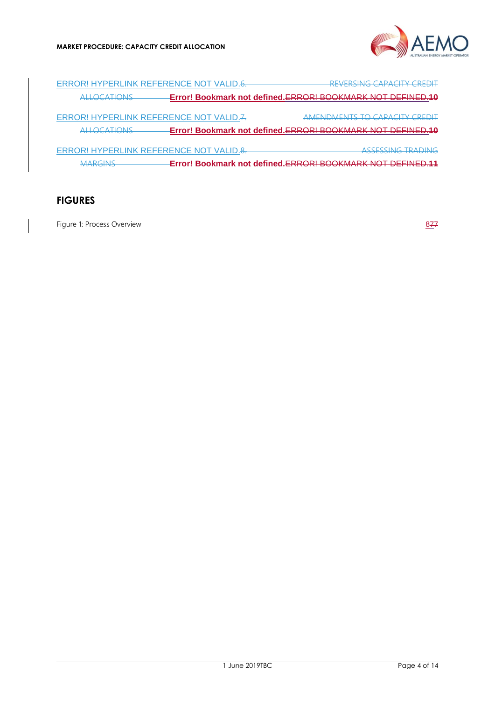

ERROR! HYPERLINK REFERENCE NOT VALID.6. REVERSING CAPACITY CREDIT ALLOCATIONS **Error! Bookmark not defined.**ERROR! BOOKMARK NOT DEFINED.**10** ERROR! HYPERLINK REFERENCE NOT VALID.7. AMENDMENTS TO CAPACITY CREDIT ALLOCATIONS **Error! Bookmark not defined.**ERROR! BOOKMARK NOT DEFINED.**10** ERROR! HYPERLINK REFERENCE NOT VALID.8. ASSESSING TRADING MARGINS **Error! Bookmark not defined.**ERROR! BOOKMARK NOT DEFINED.**11**

## **FIGURES**

[Figure 1: Process Overview](#page-7-0) 877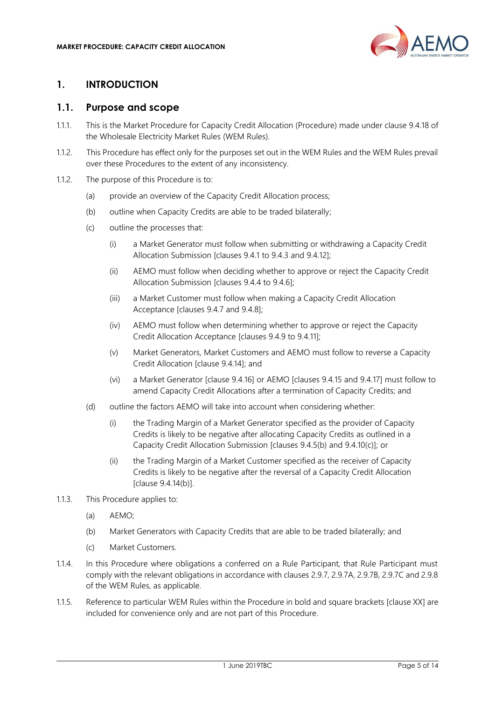

## <span id="page-4-0"></span>**1. INTRODUCTION**

#### <span id="page-4-1"></span>**1.1. Purpose and scope**

- 1.1.1. This is the Market Procedure for Capacity Credit Allocation (Procedure) made under clause 9.4.18 of the Wholesale Electricity Market Rules (WEM Rules).
- 1.1.2. This Procedure has effect only for the purposes set out in the WEM Rules and the WEM Rules prevail over these Procedures to the extent of any inconsistency.
- 1.1.2. The purpose of this Procedure is to:
	- (a) provide an overview of the Capacity Credit Allocation process;
	- (b) outline when Capacity Credits are able to be traded bilaterally;
	- (c) outline the processes that:
		- (i) a Market Generator must follow when submitting or withdrawing a Capacity Credit Allocation Submission [clauses 9.4.1 to 9.4.3 and 9.4.12];
		- (ii) AEMO must follow when deciding whether to approve or reject the Capacity Credit Allocation Submission [clauses 9.4.4 to 9.4.6];
		- (iii) a Market Customer must follow when making a Capacity Credit Allocation Acceptance [clauses 9.4.7 and 9.4.8];
		- (iv) AEMO must follow when determining whether to approve or reject the Capacity Credit Allocation Acceptance [clauses 9.4.9 to 9.4.11];
		- (v) Market Generators, Market Customers and AEMO must follow to reverse a Capacity Credit Allocation [clause 9.4.14]; and
		- (vi) a Market Generator [clause 9.4.16] or AEMO [clauses 9.4.15 and 9.4.17] must follow to amend Capacity Credit Allocations after a termination of Capacity Credits; and
	- (d) outline the factors AEMO will take into account when considering whether:
		- (i) the Trading Margin of a Market Generator specified as the provider of Capacity Credits is likely to be negative after allocating Capacity Credits as outlined in a Capacity Credit Allocation Submission [clauses 9.4.5(b) and 9.4.10(c)]; or
		- (ii) the Trading Margin of a Market Customer specified as the receiver of Capacity Credits is likely to be negative after the reversal of a Capacity Credit Allocation [clause 9.4.14(b)].
- 1.1.3. This Procedure applies to:
	- (a) AEMO;
	- (b) Market Generators with Capacity Credits that are able to be traded bilaterally; and
	- (c) Market Customers.
- 1.1.4. In this Procedure where obligations a conferred on a Rule Participant, that Rule Participant must comply with the relevant obligations in accordance with clauses 2.9.7, 2.9.7A, 2.9.7B, 2.9.7C and 2.9.8 of the WEM Rules, as applicable.
- 1.1.5. Reference to particular WEM Rules within the Procedure in bold and square brackets [clause XX] are included for convenience only and are not part of this Procedure.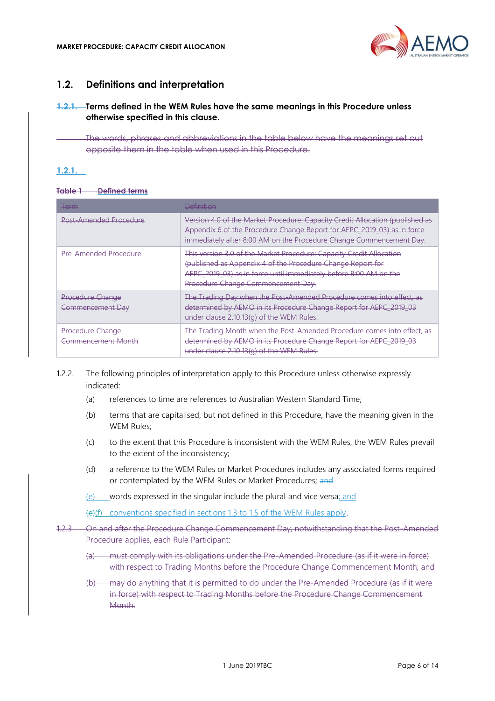

## <span id="page-5-0"></span>**1.2. Definitions and interpretation**

#### **1.2.1. Terms defined in the WEM Rules have the same meanings in this Procedure unless otherwise specified in this clause.**

The words, phrases and abbreviations in the table below have the meanings set out opposite them in the table when used in this Procedure.

#### **1.2.1.**

#### **Table 1 Defined terms**

| <del>Term</del>                               | <b>Definition</b>                                                                                                                                                                                                                              |
|-----------------------------------------------|------------------------------------------------------------------------------------------------------------------------------------------------------------------------------------------------------------------------------------------------|
| Post-Amended Procedure                        | Version 4.0 of the Market Procedure: Capacity Credit Allocation (published as<br>Appendix 6 of the Procedure Change Report for AEPC_2019_03) as in force<br>immediately after 8:00 AM on the Procedure Change Commencement Day.                |
| <b>Pre-Amended Procedure</b>                  | This version 3.0 of the Market Procedure: Capacity Credit Allocation<br>(published as Appendix 4 of the Procedure Change Report for<br>AEPC 2019 03) as in force until immediately before 8:00 AM on the<br>Procedure Change Commencement Day. |
| <b>Procedure Change</b><br>Commencement Day   | The Trading Day when the Post-Amended Procedure comes into effect, as<br>determined by AEMO in its Procedure Change Report for AEPC_2019_03<br>under clause 2.10.13(g) of the WEM Rules.                                                       |
| Procedure Change<br><b>Commencement Month</b> | The Trading Month when the Post-Amended Procedure comes into effect, as<br>determined by AEMO in its Procedure Change Report for AEPC_2019_03<br>under clause 2.10.13(g) of the WEM Rules.                                                     |

1.2.2. The following principles of interpretation apply to this Procedure unless otherwise expressly indicated:

- (a) references to time are references to Australian Western Standard Time;
- (b) terms that are capitalised, but not defined in this Procedure, have the meaning given in the WEM Rules;
- (c) to the extent that this Procedure is inconsistent with the WEM Rules, the WEM Rules prevail to the extent of the inconsistency;
- (d) a reference to the WEM Rules or Market Procedures includes any associated forms required or contemplated by the WEM Rules or Market Procedures; and
- (e) words expressed in the singular include the plural and vice versa; and

(e)(f) conventions specified in sections 1.3 to 1.5 of the WEM Rules apply.

- 1.2.3. On and after the Procedure Change Commencement Day, notwithstanding that the Post-Amended Procedure applies, each Rule Participant:
	- (a) must comply with its obligations under the Pre-Amended Procedure (as if it were in force) with respect to Trading Months before the Procedure Change Commencement Month; and
	- (b) may do anything that it is permitted to do under the Pre-Amended Procedure (as if it were in force) with respect to Trading Months before the Procedure Change Commencement Month.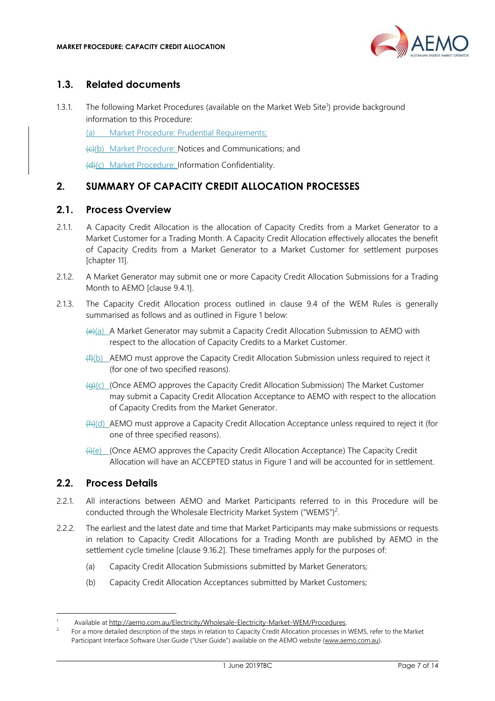

## <span id="page-6-0"></span>**1.3. Related documents**

1.3.1. The following Market Procedures (available on the Market Web Site<sup>1</sup>) provide background information to this Procedure:

(a) Market Procedure: Prudential Requirements;

(c)(b) Market Procedure: Notices and Communications; and

(d)(c) Market Procedure: Information Confidentiality.

## <span id="page-6-1"></span>**2. SUMMARY OF CAPACITY CREDIT ALLOCATION PROCESSES**

#### <span id="page-6-2"></span>**2.1. Process Overview**

- 2.1.1. A Capacity Credit Allocation is the allocation of Capacity Credits from a Market Generator to a Market Customer for a Trading Month. A Capacity Credit Allocation effectively allocates the benefit of Capacity Credits from a Market Generator to a Market Customer for settlement purposes [chapter 11].
- 2.1.2. A Market Generator may submit one or more Capacity Credit Allocation Submissions for a Trading Month to AEMO [clause 9.4.1].
- 2.1.3. The Capacity Credit Allocation process outlined in clause 9.4 of the WEM Rules is generally summarised as follows and as outlined in [Figure 1](#page-7-0) below:
	- (e)(a) A Market Generator may submit a Capacity Credit Allocation Submission to AEMO with respect to the allocation of Capacity Credits to a Market Customer.
	- (f)(b) AEMO must approve the Capacity Credit Allocation Submission unless required to reject it (for one of two specified reasons).
	- $\left(\frac{1}{2}(G)\right)$  (Once AEMO approves the Capacity Credit Allocation Submission) The Market Customer may submit a Capacity Credit Allocation Acceptance to AEMO with respect to the allocation of Capacity Credits from the Market Generator.
	- (h)(d) AEMO must approve a Capacity Credit Allocation Acceptance unless required to reject it (for one of three specified reasons).
	- (i)(e) (Once AEMO approves the Capacity Credit Allocation Acceptance) The Capacity Credit Allocation will have an ACCEPTED status in [Figure 1](#page-7-0) and will be accounted for in settlement.

#### <span id="page-6-3"></span>**2.2. Process Details**

- 2.2.1. All interactions between AEMO and Market Participants referred to in this Procedure will be conducted through the Wholesale Electricity Market System ("WEMS")<sup>2</sup>.
- <span id="page-6-4"></span>2.2.2. The earliest and the latest date and time that Market Participants may make submissions or requests in relation to Capacity Credit Allocations for a Trading Month are published by AEMO in the settlement cycle timeline [clause 9.16.2]. These timeframes apply for the purposes of:
	- (a) Capacity Credit Allocation Submissions submitted by Market Generators;
	- (b) Capacity Credit Allocation Acceptances submitted by Market Customers;

Available at http://aemo.com.au/Electricity/Wholesale-Electricity-Market-WEM/Procedures.

<sup>2</sup> For a more detailed description of the steps in relation to Capacity Credit Allocation processes in WEMS, refer to the Market Participant Interface Software User Guide ("User Guide") available on the AEMO website [\(www.aemo.com.au\).](http://www.aemo.com.au/)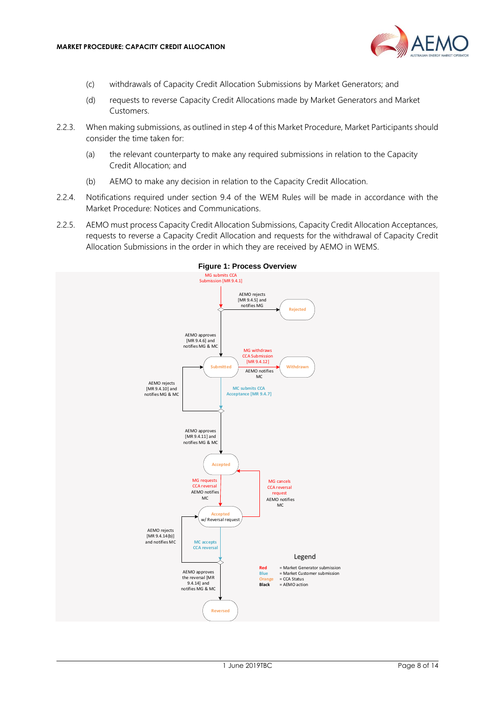

- (c) withdrawals of Capacity Credit Allocation Submissions by Market Generators; and
- (d) requests to reverse Capacity Credit Allocations made by Market Generators and Market Customers.
- 2.2.3. When making submissions, as outlined in step [4](#page-8-1) of this Market Procedure, Market Participants should consider the time taken for:
	- (a) the relevant counterparty to make any required submissions in relation to the Capacity Credit Allocation; and
	- (b) AEMO to make any decision in relation to the Capacity Credit Allocation.
- 2.2.4. Notifications required under section 9.4 of the WEM Rules will be made in accordance with the Market Procedure: Notices and Communications.
- 2.2.5. AEMO must process Capacity Credit Allocation Submissions, Capacity Credit Allocation Acceptances, requests to reverse a Capacity Credit Allocation and requests for the withdrawal of Capacity Credit Allocation Submissions in the order in which they are received by AEMO in WEMS.

<span id="page-7-0"></span>

**Figure 1: Process Overview**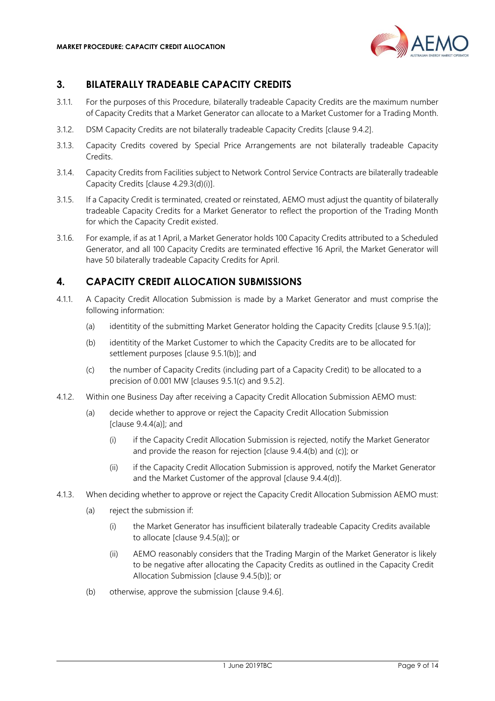

## <span id="page-8-0"></span>**3. BILATERALLY TRADEABLE CAPACITY CREDITS**

- 3.1.1. For the purposes of this Procedure, bilaterally tradeable Capacity Credits are the maximum number of Capacity Credits that a Market Generator can allocate to a Market Customer for a Trading Month.
- 3.1.2. DSM Capacity Credits are not bilaterally tradeable Capacity Credits [clause 9.4.2].
- 3.1.3. Capacity Credits covered by Special Price Arrangements are not bilaterally tradeable Capacity Credits.
- 3.1.4. Capacity Credits from Facilities subject to Network Control Service Contracts are bilaterally tradeable Capacity Credits [clause 4.29.3(d)(i)].
- 3.1.5. If a Capacity Credit is terminated, created or reinstated, AEMO must adjust the quantity of bilaterally tradeable Capacity Credits for a Market Generator to reflect the proportion of the Trading Month for which the Capacity Credit existed.
- 3.1.6. For example, if as at 1 April, a Market Generator holds 100 Capacity Credits attributed to a Scheduled Generator, and all 100 Capacity Credits are terminated effective 16 April, the Market Generator will have 50 bilaterally tradeable Capacity Credits for April.

#### <span id="page-8-1"></span>**4. CAPACITY CREDIT ALLOCATION SUBMISSIONS**

- 4.1.1. A Capacity Credit Allocation Submission is made by a Market Generator and must comprise the following information:
	- (a) identitity of the submitting Market Generator holding the Capacity Credits [clause 9.5.1(a)];
	- (b) identitity of the Market Customer to which the Capacity Credits are to be allocated for settlement purposes [clause 9.5.1(b)]; and
	- (c) the number of Capacity Credits (including part of a Capacity Credit) to be allocated to a precision of 0.001 MW [clauses 9.5.1(c) and 9.5.2].
- 4.1.2. Within one Business Day after receiving a Capacity Credit Allocation Submission AEMO must:
	- (a) decide whether to approve or reject the Capacity Credit Allocation Submission [clause 9.4.4(a)]; and
		- (i) if the Capacity Credit Allocation Submission is rejected, notify the Market Generator and provide the reason for rejection [clause 9.4.4(b) and (c)]; or
		- (ii) if the Capacity Credit Allocation Submission is approved, notify the Market Generator and the Market Customer of the approval [clause 9.4.4(d)].
- <span id="page-8-3"></span><span id="page-8-2"></span>4.1.3. When deciding whether to approve or reject the Capacity Credit Allocation Submission AEMO must:
	- (a) reject the submission if:
		- (i) the Market Generator has insufficient bilaterally tradeable Capacity Credits available to allocate [clause 9.4.5(a)]; or
		- (ii) AEMO reasonably considers that the Trading Margin of the Market Generator is likely to be negative after allocating the Capacity Credits as outlined in the Capacity Credit Allocation Submission [clause 9.4.5(b)]; or
	- (b) otherwise, approve the submission [clause 9.4.6].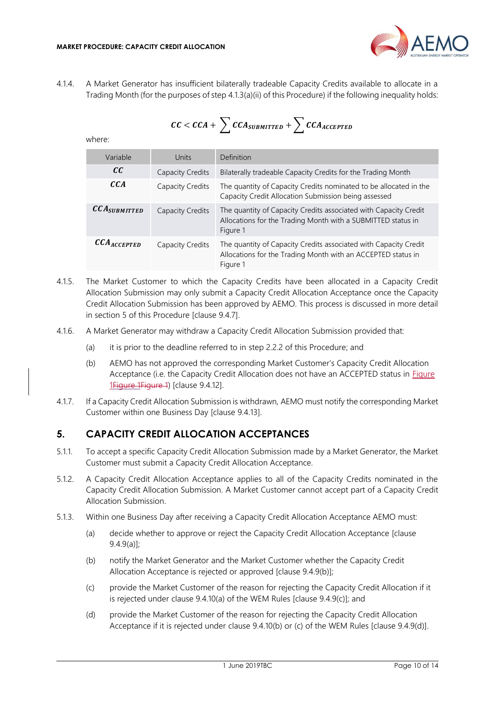

<span id="page-9-1"></span>4.1.4. A Market Generator has insufficient bilaterally tradeable Capacity Credits available to allocate in a Trading Month (for the purposes of step [4.1.3](#page-8-2)[\(a\)\(ii\)](#page-8-3) of this Procedure) if the following inequality holds:

 $CC < CCA + \sum CCA_{SUBMITTED} + \sum CCA_{ACCEPTED}$ 

where:

| Variable                             | Units                   | Definition                                                                                                                                   |
|--------------------------------------|-------------------------|----------------------------------------------------------------------------------------------------------------------------------------------|
| cc                                   | <b>Capacity Credits</b> | Bilaterally tradeable Capacity Credits for the Trading Month                                                                                 |
| cca                                  | Capacity Credits        | The quantity of Capacity Credits nominated to be allocated in the<br>Capacity Credit Allocation Submission being assessed                    |
| $\mathcal{CCA}_{\textit{SUBMITTED}}$ | Capacity Credits        | The quantity of Capacity Credits associated with Capacity Credit<br>Allocations for the Trading Month with a SUBMITTED status in<br>Figure 1 |
| $\mathcal{CCA}_{\mathcal{ACCEPTED}}$ | Capacity Credits        | The quantity of Capacity Credits associated with Capacity Credit<br>Allocations for the Trading Month with an ACCEPTED status in<br>Figure 1 |

- 4.1.5. The Market Customer to which the Capacity Credits have been allocated in a Capacity Credit Allocation Submission may only submit a Capacity Credit Allocation Acceptance once the Capacity Credit Allocation Submission has been approved by AEMO. This process is discussed in more detail in section [5](#page-9-0) of this Procedure [clause 9.4.7].
- 4.1.6. A Market Generator may withdraw a Capacity Credit Allocation Submission provided that:
	- (a) it is prior to the deadline referred to in step [2.2.2](#page-6-4) of this Procedure; and
	- (b) AEMO has not approved the corresponding Market Customer's Capacity Credit Allocation Acceptance (i.e. the Capacity Credit Allocation does not have an ACCEPTED status in **Figure** [1Figure 1Figure](#page-7-0) 1) [clause 9.4.12].
- 4.1.7. If a Capacity Credit Allocation Submission is withdrawn, AEMO must notify the corresponding Market Customer within one Business Day [clause 9.4.13].

## <span id="page-9-0"></span>**5. CAPACITY CREDIT ALLOCATION ACCEPTANCES**

- 5.1.1. To accept a specific Capacity Credit Allocation Submission made by a Market Generator, the Market Customer must submit a Capacity Credit Allocation Acceptance.
- 5.1.2. A Capacity Credit Allocation Acceptance applies to all of the Capacity Credits nominated in the Capacity Credit Allocation Submission. A Market Customer cannot accept part of a Capacity Credit Allocation Submission.
- 5.1.3. Within one Business Day after receiving a Capacity Credit Allocation Acceptance AEMO must:
	- (a) decide whether to approve or reject the Capacity Credit Allocation Acceptance [clause 9.4.9(a)];
	- (b) notify the Market Generator and the Market Customer whether the Capacity Credit Allocation Acceptance is rejected or approved [clause 9.4.9(b)];
	- (c) provide the Market Customer of the reason for rejecting the Capacity Credit Allocation if it is rejected under clause 9.4.10(a) of the WEM Rules [clause 9.4.9(c)]; and
	- (d) provide the Market Customer of the reason for rejecting the Capacity Credit Allocation Acceptance if it is rejected under clause 9.4.10(b) or (c) of the WEM Rules [clause 9.4.9(d)].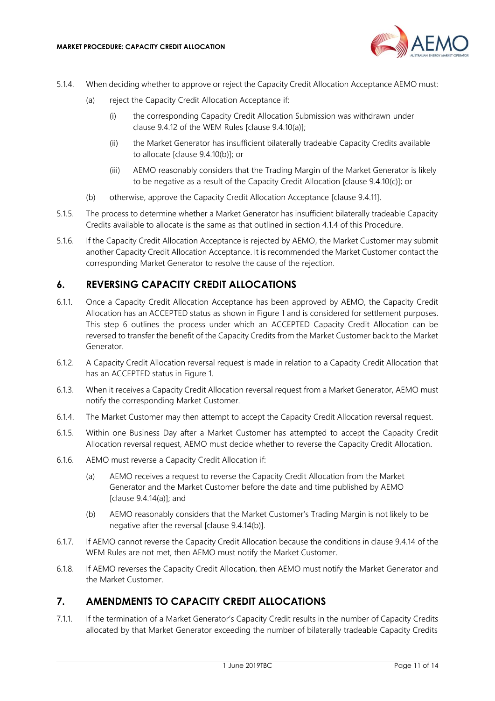

- 5.1.4. When deciding whether to approve or reject the Capacity Credit Allocation Acceptance AEMO must:
	- (a) reject the Capacity Credit Allocation Acceptance if:
		- (i) the corresponding Capacity Credit Allocation Submission was withdrawn under clause 9.4.12 of the WEM Rules [clause 9.4.10(a)];
		- (ii) the Market Generator has insufficient bilaterally tradeable Capacity Credits available to allocate [clause 9.4.10(b)]; or
		- (iii) AEMO reasonably considers that the Trading Margin of the Market Generator is likely to be negative as a result of the Capacity Credit Allocation [clause 9.4.10(c)]; or
	- (b) otherwise, approve the Capacity Credit Allocation Acceptance [clause 9.4.11].
- 5.1.5. The process to determine whether a Market Generator has insufficient bilaterally tradeable Capacity Credits available to allocate is the same as that outlined in section [4.1.4](#page-9-1) of this Procedure.
- 5.1.6. If the Capacity Credit Allocation Acceptance is rejected by AEMO, the Market Customer may submit another Capacity Credit Allocation Acceptance. It is recommended the Market Customer contact the corresponding Market Generator to resolve the cause of the rejection.

#### <span id="page-10-0"></span>**6. REVERSING CAPACITY CREDIT ALLOCATIONS**

- 6.1.1. Once a Capacity Credit Allocation Acceptance has been approved by AEMO, the Capacity Credit Allocation has an ACCEPTED status as shown in [Figure 1](#page-7-0) and is considered for settlement purposes. This step [6](#page-10-0) outlines the process under which an ACCEPTED Capacity Credit Allocation can be reversed to transfer the benefit of the Capacity Credits from the Market Customer back to the Market Generator.
- 6.1.2. A Capacity Credit Allocation reversal request is made in relation to a Capacity Credit Allocation that has an ACCEPTED status in [Figure 1.](#page-7-0)
- 6.1.3. When it receives a Capacity Credit Allocation reversal request from a Market Generator, AEMO must notify the corresponding Market Customer.
- 6.1.4. The Market Customer may then attempt to accept the Capacity Credit Allocation reversal request.
- 6.1.5. Within one Business Day after a Market Customer has attempted to accept the Capacity Credit Allocation reversal request, AEMO must decide whether to reverse the Capacity Credit Allocation.
- 6.1.6. AEMO must reverse a Capacity Credit Allocation if:
	- (a) AEMO receives a request to reverse the Capacity Credit Allocation from the Market Generator and the Market Customer before the date and time published by AEMO [clause 9.4.14(a)]; and
	- (b) AEMO reasonably considers that the Market Customer's Trading Margin is not likely to be negative after the reversal [clause 9.4.14(b)].
- 6.1.7. If AEMO cannot reverse the Capacity Credit Allocation because the conditions in clause 9.4.14 of the WEM Rules are not met, then AEMO must notify the Market Customer.
- 6.1.8. If AEMO reverses the Capacity Credit Allocation, then AEMO must notify the Market Generator and the Market Customer.

#### <span id="page-10-1"></span>**7. AMENDMENTS TO CAPACITY CREDIT ALLOCATIONS**

<span id="page-10-2"></span>7.1.1. If the termination of a Market Generator's Capacity Credit results in the number of Capacity Credits allocated by that Market Generator exceeding the number of bilaterally tradeable Capacity Credits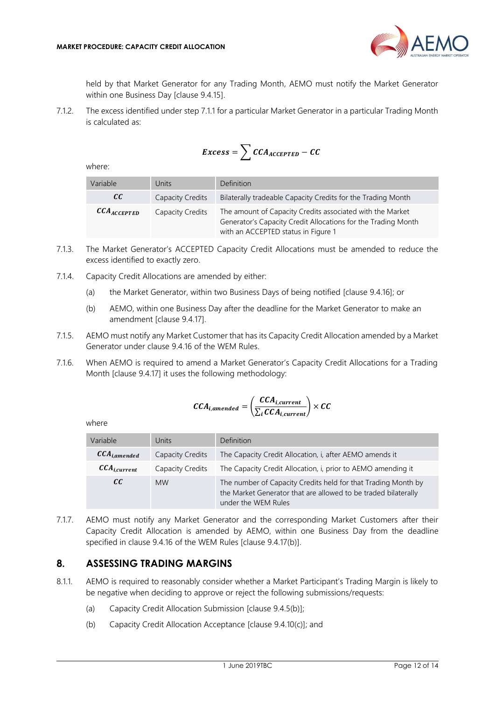

held by that Market Generator for any Trading Month, AEMO must notify the Market Generator within one Business Day [clause 9.4.15].

7.1.2. The excess identified under step [7.1.1](#page-10-2) for a particular Market Generator in a particular Trading Month is calculated as:

$$
Excess = \sum CCA_{ACCEPTED} - CC
$$

where:

| Variable                   | Units            | Definition                                                                                                                                                        |
|----------------------------|------------------|-------------------------------------------------------------------------------------------------------------------------------------------------------------------|
| cc                         | Capacity Credits | Bilaterally tradeable Capacity Credits for the Trading Month                                                                                                      |
| $\mathcal{CCA}_{ACCEPTED}$ | Capacity Credits | The amount of Capacity Credits associated with the Market<br>Generator's Capacity Credit Allocations for the Trading Month<br>with an ACCEPTED status in Figure 1 |

- 7.1.3. The Market Generator's ACCEPTED Capacity Credit Allocations must be amended to reduce the excess identified to exactly zero.
- 7.1.4. Capacity Credit Allocations are amended by either:
	- (a) the Market Generator, within two Business Days of being notified [clause 9.4.16]; or
	- (b) AEMO, within one Business Day after the deadline for the Market Generator to make an amendment [clause 9.4.17].
- 7.1.5. AEMO must notify any Market Customer that has its Capacity Credit Allocation amended by a Market Generator under clause 9.4.16 of the WEM Rules.
- 7.1.6. When AEMO is required to amend a Market Generator's Capacity Credit Allocations for a Trading Month [clause 9.4.17] it uses the following methodology:

$$
CCA_{i,amended} = \left(\frac{CCA_{i,current}}{\sum_{i}CCA_{i,current}}\right) \times CC
$$

where

| Variable                     | Units            | Definition                                                                                                                                             |
|------------------------------|------------------|--------------------------------------------------------------------------------------------------------------------------------------------------------|
| $\mathcal{CCA}_{i,amended}$  | Capacity Credits | The Capacity Credit Allocation, i, after AEMO amends it                                                                                                |
| $\mathcal{CCA}_{i, current}$ | Capacity Credits | The Capacity Credit Allocation, i, prior to AEMO amending it                                                                                           |
| cc                           | <b>MW</b>        | The number of Capacity Credits held for that Trading Month by<br>the Market Generator that are allowed to be traded bilaterally<br>under the WEM Rules |

7.1.7. AEMO must notify any Market Generator and the corresponding Market Customers after their Capacity Credit Allocation is amended by AEMO, within one Business Day from the deadline specified in clause 9.4.16 of the WEM Rules [clause 9.4.17(b)].

#### <span id="page-11-0"></span>**8. ASSESSING TRADING MARGINS**

- 8.1.1. AEMO is required to reasonably consider whether a Market Participant's Trading Margin is likely to be negative when deciding to approve or reject the following submissions/requests:
	- (a) Capacity Credit Allocation Submission [clause 9.4.5(b)];
	- (b) Capacity Credit Allocation Acceptance [clause 9.4.10(c)]; and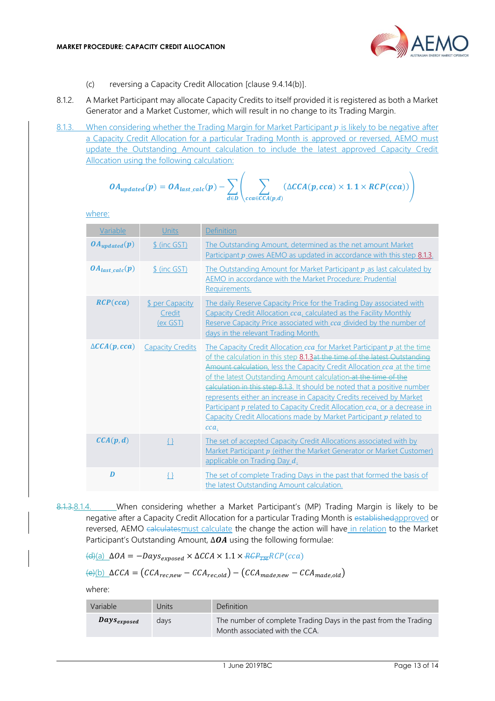

- (c) reversing a Capacity Credit Allocation [clause 9.4.14(b)].
- 8.1.2. A Market Participant may allocate Capacity Credits to itself provided it is registered as both a Market Generator and a Market Customer, which will result in no change to its Trading Margin.
- <span id="page-12-0"></span>8.1.3. When considering whether the Trading Margin for Market Participant  $p$  is likely to be negative after a Capacity Credit Allocation for a particular Trading Month is approved or reversed, AEMO must update the Outstanding Amount calculation to include the latest approved Capacity Credit Allocation using the following calculation:

$$
OA_{updated}(p) = OA_{last\_calc}(p) - \sum_{d \in D} \left( \sum_{cca \in CCA(p,d)} (\Delta CCA(p, cca) \times 1.1 \times RCP(cca)) \right)
$$

where:

| Variable                | Units                                        | <b>Definition</b>                                                                                                                                                                                                                                                                                                                                                                                                                                                                                                                                                                                                    |
|-------------------------|----------------------------------------------|----------------------------------------------------------------------------------------------------------------------------------------------------------------------------------------------------------------------------------------------------------------------------------------------------------------------------------------------------------------------------------------------------------------------------------------------------------------------------------------------------------------------------------------------------------------------------------------------------------------------|
| $OA_{updated}(p)$       | \$ (inc GST)                                 | The Outstanding Amount, determined as the net amount Market<br>Participant $p$ owes AEMO as updated in accordance with this step $8.1.3$ .                                                                                                                                                                                                                                                                                                                                                                                                                                                                           |
| $OA_{last\,calc}(p)$    | \$ (inc GST)                                 | The Outstanding Amount for Market Participant p as last calculated by<br>AEMO in accordance with the Market Procedure: Prudential<br>Requirements.                                                                                                                                                                                                                                                                                                                                                                                                                                                                   |
| RCP(cca)                | <b>\$ per Capacity</b><br>Credit<br>(ex GST) | The daily Reserve Capacity Price for the Trading Day associated with<br>Capacity Credit Allocation cca, calculated as the Facility Monthly<br>Reserve Capacity Price associated with cca divided by the number of<br>days in the relevant Trading Month.                                                                                                                                                                                                                                                                                                                                                             |
| $\triangle CCA(p, cca)$ | <b>Capacity Credits</b>                      | The Capacity Credit Allocation cca for Market Participant p at the time<br>of the calculation in this step 8.1.3at the time of the latest Outstanding<br>Amount calculation, less the Capacity Credit Allocation cca at the time<br>of the latest Outstanding Amount calculation at the time of the<br>calculation in this step 8.1.3. It should be noted that a positive number<br>represents either an increase in Capacity Credits received by Market<br>Participant p related to Capacity Credit Allocation cca, or a decrease in<br>Capacity Credit Allocations made by Market Participant p related to<br>cca. |
| $\mathcal{CCA}(p,d)$    | $\{\}$                                       | The set of accepted Capacity Credit Allocations associated with by<br>Market Participant p (either the Market Generator or Market Customer)<br>applicable on Trading Day d.                                                                                                                                                                                                                                                                                                                                                                                                                                          |
| D                       | $\{\}$                                       | The set of complete Trading Days in the past that formed the basis of<br>the latest Outstanding Amount calculation.                                                                                                                                                                                                                                                                                                                                                                                                                                                                                                  |

8.1.3.8.1.4. When considering whether a Market Participant's (MP) Trading Margin is likely to be negative after a Capacity Credit Allocation for a particular Trading Month is establishedapproved or reversed, AEMO calculates must calculate the change the action will have in relation to the Market Participant's Outstanding Amount, ∆OA using the following formulae:

 $\left(\frac{d}{a}\right)$   $\Delta OA = -Days_{exposed} \times \Delta CCA \times 1.1 \times \frac{RCP_{cm}}{R} RCP(cca)$ 

$$
\frac{(\mathcal{C})(\mathcal{C})}{\Delta CCA} = (CCA_{rec,new} - CCA_{rec,old}) - (CCA_{made,new} - CCA_{made,old})
$$

where:

| Variable                | Units | <b>Definition</b>                                                                                  |
|-------------------------|-------|----------------------------------------------------------------------------------------------------|
| Days <sub>exposed</sub> | days  | The number of complete Trading Days in the past from the Trading<br>Month associated with the CCA. |